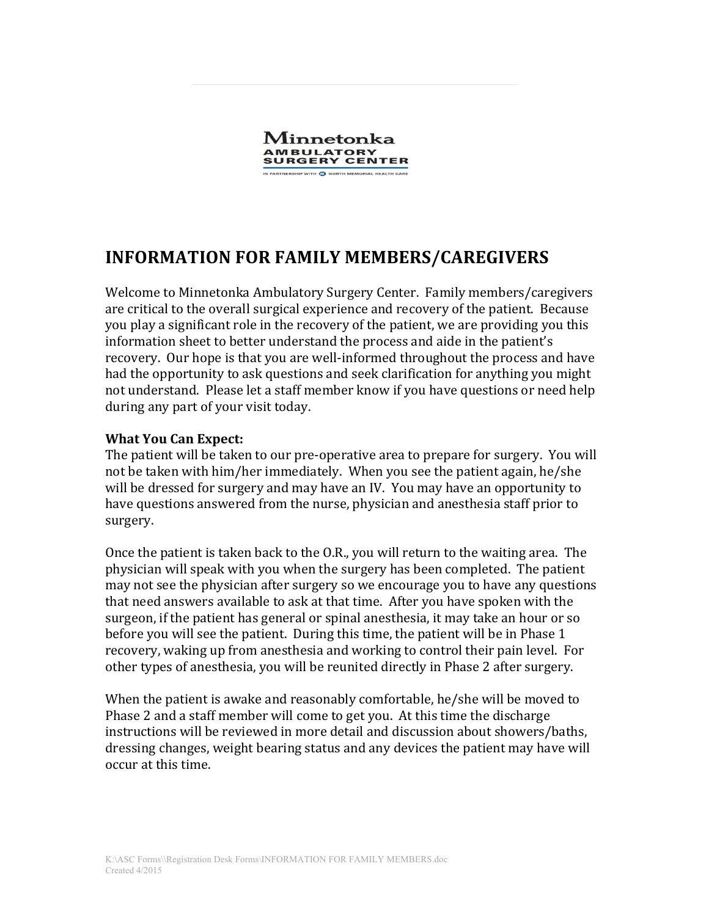

## **INFORMATION FOR FAMILY MEMBERS/CAREGIVERS**

Welcome to Minnetonka Ambulatory Surgery Center. Family members/caregivers are critical to the overall surgical experience and recovery of the patient. Because you play a significant role in the recovery of the patient, we are providing you this information sheet to better understand the process and aide in the patient's recovery. Our hope is that you are well-informed throughout the process and have had the opportunity to ask questions and seek clarification for anything you might not understand. Please let a staff member know if you have questions or need help during any part of your visit today.

## **What You Can Expect:**

The patient will be taken to our pre-operative area to prepare for surgery. You will not be taken with him/her immediately. When you see the patient again, he/she will be dressed for surgery and may have an IV. You may have an opportunity to have questions answered from the nurse, physician and anesthesia staff prior to surgery.

Once the patient is taken back to the O.R., you will return to the waiting area. The physician will speak with you when the surgery has been completed. The patient may not see the physician after surgery so we encourage you to have any questions that need answers available to ask at that time. After you have spoken with the surgeon, if the patient has general or spinal anesthesia, it may take an hour or so before you will see the patient. During this time, the patient will be in Phase 1 recovery, waking up from anesthesia and working to control their pain level. For other types of anesthesia, you will be reunited directly in Phase 2 after surgery.

When the patient is awake and reasonably comfortable, he/she will be moved to Phase 2 and a staff member will come to get you. At this time the discharge instructions will be reviewed in more detail and discussion about showers/baths, dressing changes, weight bearing status and any devices the patient may have will occur at this time.